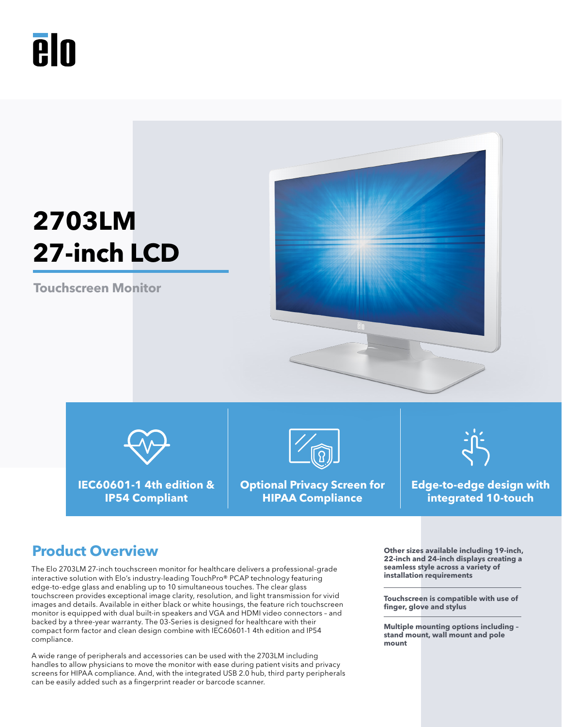# **PIN**

## **2703LM 27-inch LCD**

**Touchscreen Monitor**





**IEC60601-1 4th edition & IP54 Compliant**



**Optional Privacy Screen for HIPAA Compliance**



**Edge-to-edge design with integrated 10-touch**

### **Product Overview Outer Service We are all the Service Services** of the sizes available including 19-inch,

The Elo 2703LM 27-inch touchscreen monitor for healthcare delivers a professional-grade interactive solution with Elo's industry-leading TouchPro® PCAP technology featuring edge-to-edge glass and enabling up to 10 simultaneous touches. The clear glass touchscreen provides exceptional image clarity, resolution, and light transmission for vivid images and details. Available in either black or white housings, the feature rich touchscreen monitor is equipped with dual built-in speakers and VGA and HDMI video connectors – and backed by a three-year warranty. The 03-Series is designed for healthcare with their compact form factor and clean design combine with IEC60601-1 4th edition and IP54 compliance.

A wide range of peripherals and accessories can be used with the 2703LM including handles to allow physicians to move the monitor with ease during patient visits and privacy screens for HIPAA compliance. And, with the integrated USB 2.0 hub, third party peripherals can be easily added such as a fingerprint reader or barcode scanner.

**22-inch and 24-inch displays creating a seamless style across a variety of installation requirements**

**Touchscreen is compatible with use of finger, glove and stylus**

**Multiple mounting options including – stand mount, wall mount and pole mount**